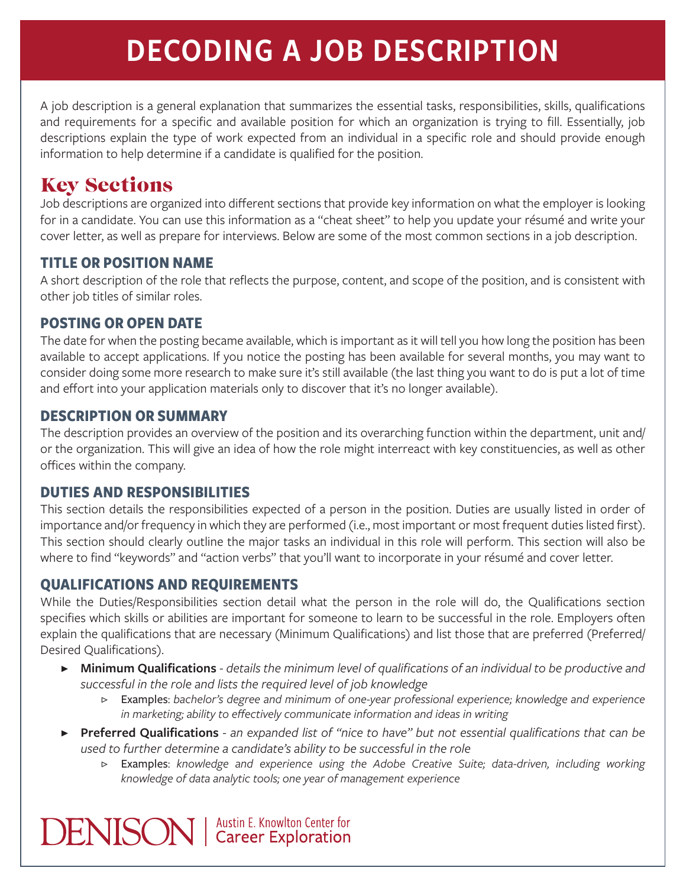# DECODING A JOB DESCRIPTION

A job description is a general explanation that summarizes the essential tasks, responsibilities, skills, qualifications and requirements for a specific and available position for which an organization is trying to fill. Essentially, job descriptions explain the type of work expected from an individual in a specific role and should provide enough information to help determine if a candidate is qualified for the position.

# Key Sections

Job descriptions are organized into different sections that provide key information on what the employer is looking for in a candidate. You can use this information as a "cheat sheet" to help you update your résumé and write your cover letter, as well as prepare for interviews. Below are some of the most common sections in a job description.

### **TITLE OR POSITION NAME**

A short description of the role that reflects the purpose, content, and scope of the position, and is consistent with other job titles of similar roles.

# **POSTING OR OPEN DATE**

The date for when the posting became available, which is important as it will tell you how long the position has been available to accept applications. If you notice the posting has been available for several months, you may want to consider doing some more research to make sure it's still available (the last thing you want to do is put a lot of time and effort into your application materials only to discover that it's no longer available).

# **DESCRIPTION OR SUMMARY**

The description provides an overview of the position and its overarching function within the department, unit and/ or the organization. This will give an idea of how the role might interreact with key constituencies, as well as other offices within the company.

# **DUTIES AND RESPONSIBILITIES**

This section details the responsibilities expected of a person in the position. Duties are usually listed in order of importance and/or frequency in which they are performed (i.e., most important or most frequent duties listed first). This section should clearly outline the major tasks an individual in this role will perform. This section will also be where to find "keywords" and "action verbs" that you'll want to incorporate in your résumé and cover letter.

### **QUALIFICATIONS AND REQUIREMENTS**

While the Duties/Responsibilities section detail what the person in the role will do, the Qualifications section specifies which skills or abilities are important for someone to learn to be successful in the role. Employers often explain the qualifications that are necessary (Minimum Qualifications) and list those that are preferred (Preferred/ Desired Qualifications).

- ▶ **Minimum Qualifications** *details the minimum level of qualifications of an individual to be productive and successful in the role and lists the required level of job knowledge*
	- ▷ Examples: *bachelor's degree and minimum of one-year professional experience; knowledge and experience in marketing; ability to effectively communicate information and ideas in writing*
- ▶ **Preferred Qualifications** *an expanded list of "nice to have" but not essential qualifications that can be used to further determine a candidate's ability to be successful in the role*
	- ▷ Examples: *knowledge and experience using the Adobe Creative Suite; data-driven, including working knowledge of data analytic tools; one year of management experience*

**DENISON** | Austin E. Knowlton Center for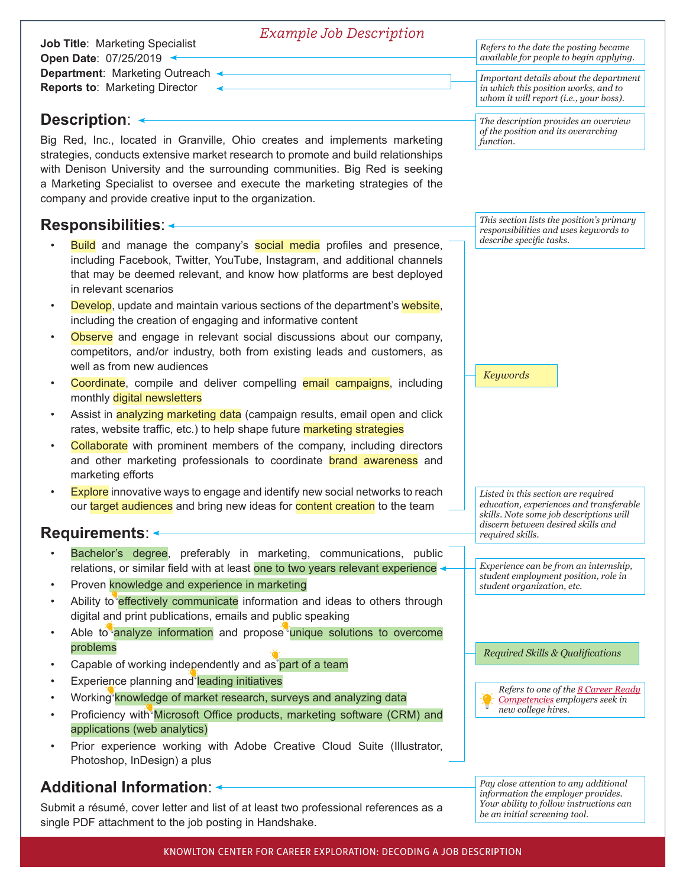| <b>Example Job Description</b>                                                                                                                                                                                                                                                                                                                                                                             |                                                                                                                                                                 |
|------------------------------------------------------------------------------------------------------------------------------------------------------------------------------------------------------------------------------------------------------------------------------------------------------------------------------------------------------------------------------------------------------------|-----------------------------------------------------------------------------------------------------------------------------------------------------------------|
| <b>Job Title: Marketing Specialist</b><br>Open Date: 07/25/2019 <                                                                                                                                                                                                                                                                                                                                          | Refers to the date the posting became<br>available for people to begin applying.                                                                                |
| Department: Marketing Outreach <                                                                                                                                                                                                                                                                                                                                                                           | Important details about the department                                                                                                                          |
| <b>Reports to: Marketing Director</b>                                                                                                                                                                                                                                                                                                                                                                      | in which this position works, and to<br>whom it will report (i.e., your boss).                                                                                  |
| <b>Description: ←</b>                                                                                                                                                                                                                                                                                                                                                                                      | The description provides an overview<br>of the position and its overarching                                                                                     |
| Big Red, Inc., located in Granville, Ohio creates and implements marketing<br>strategies, conducts extensive market research to promote and build relationships<br>with Denison University and the surrounding communities. Big Red is seeking<br>a Marketing Specialist to oversee and execute the marketing strategies of the<br>company and provide creative input to the organization.                 | function.                                                                                                                                                       |
| <b>Responsibilities: ←</b>                                                                                                                                                                                                                                                                                                                                                                                 | This section lists the position's primary<br>responsibilities and uses keywords to                                                                              |
| <b>Build</b> and manage the company's <b>social media</b> profiles and presence,<br>including Facebook, Twitter, YouTube, Instagram, and additional channels<br>that may be deemed relevant, and know how platforms are best deployed<br>in relevant scenarios<br>Develop, update and maintain various sections of the department's website,<br>including the creation of engaging and informative content | describe specific tasks.                                                                                                                                        |
| Observe and engage in relevant social discussions about our company,<br>$\bullet$<br>competitors, and/or industry, both from existing leads and customers, as<br>well as from new audiences                                                                                                                                                                                                                | <b>Keywords</b>                                                                                                                                                 |
| Coordinate, compile and deliver compelling email campaigns, including<br>monthly digital newsletters                                                                                                                                                                                                                                                                                                       |                                                                                                                                                                 |
| Assist in analyzing marketing data (campaign results, email open and click<br>rates, website traffic, etc.) to help shape future marketing strategies                                                                                                                                                                                                                                                      |                                                                                                                                                                 |
| Collaborate with prominent members of the company, including directors<br>and other marketing professionals to coordinate brand awareness and<br>marketing efforts                                                                                                                                                                                                                                         |                                                                                                                                                                 |
| <b>Explore</b> innovative ways to engage and identify new social networks to reach<br>$\bullet$<br>our target audiences and bring new ideas for content creation to the team                                                                                                                                                                                                                               | Listed in this section are required<br>education, experiences and transferable<br>skills. Note some job descriptions will<br>discern between desired skills and |
| Requirements: <                                                                                                                                                                                                                                                                                                                                                                                            | required skills.                                                                                                                                                |
| Bachelor's degree, preferably in marketing, communications, public                                                                                                                                                                                                                                                                                                                                         |                                                                                                                                                                 |
| relations, or similar field with at least one to two years relevant experience <                                                                                                                                                                                                                                                                                                                           | Experience can be from an internship,<br>student employment position, role in                                                                                   |
| Proven knowledge and experience in marketing                                                                                                                                                                                                                                                                                                                                                               | student organization, etc.                                                                                                                                      |
| Ability to effectively communicate information and ideas to others through<br>digital and print publications, emails and public speaking                                                                                                                                                                                                                                                                   |                                                                                                                                                                 |
| Able to analyze information and propose unique solutions to overcome<br>problems                                                                                                                                                                                                                                                                                                                           | Required Skills & Qualifications                                                                                                                                |
| Capable of working independently and as part of a team                                                                                                                                                                                                                                                                                                                                                     |                                                                                                                                                                 |
| Experience planning and leading initiatives                                                                                                                                                                                                                                                                                                                                                                |                                                                                                                                                                 |
| Working knowledge of market research, surveys and analyzing data                                                                                                                                                                                                                                                                                                                                           | Refers to one of the 8 Career Ready<br>Competencies employers seek in<br>new college hires.                                                                     |
| Proficiency with Microsoft Office products, marketing software (CRM) and<br>applications (web analytics)                                                                                                                                                                                                                                                                                                   |                                                                                                                                                                 |
| Prior experience working with Adobe Creative Cloud Suite (Illustrator,<br>Photoshop, InDesign) a plus                                                                                                                                                                                                                                                                                                      |                                                                                                                                                                 |
| <b>Additional Information: &lt;</b>                                                                                                                                                                                                                                                                                                                                                                        | Pay close attention to any additional<br>information the employer provided                                                                                      |

Submit a résumé, cover letter and list of at least two professional references as a single PDF attachment to the job posting in Handshake.

*information the employer provides. Your ability to follow instructions can be an initial screening tool.*